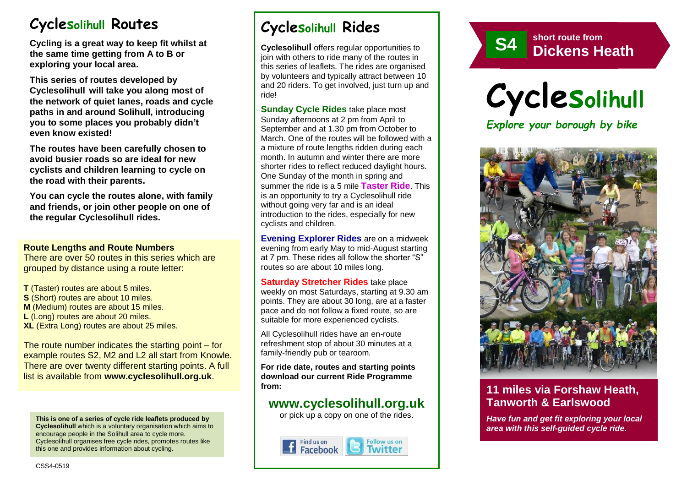# **Cyclesolihull Routes**

**Cycling is a great way to keep fit whilst at the same time getting from A to B or exploring your local area.** 

**This series of routes developed by Cyclesolihull will take you along most of the network of quiet lanes, roads and cycle paths in and around Solihull, introducing you to some places you probably didn't even know existed!**

**The routes have been carefully chosen to avoid busier roads so are ideal for new cyclists and children learning to cycle on the road with their parents.** 

**You can cycle the routes alone, with family and friends, or join other people on one of the regular Cyclesolihull rides.**

#### **Route Lengths and Route Numbers**

There are over 50 routes in this series which are grouped by distance using a route letter:

**T** (Taster) routes are about 5 miles. **S** (Short) routes are about 10 miles. **M** (Medium) routes are about 15 miles. **L** (Long) routes are about 20 miles. **XL** (Extra Long) routes are about 25 miles.

The route number indicates the starting point – for example routes S2, M2 and L2 all start from Knowle. There are over twenty different starting points. A full list is available from **www.cyclesolihull.org.uk**.

**This is one of a series of cycle ride leaflets produced by Cyclesolihull** which is a voluntary organisation which aims to encourage people in the Solihull area to cycle more. Cyclesolihull organises free cycle rides, promotes routes like this one and provides information about cycling.

# **Cyclesolihull Rides**

**Cyclesolihull** offers regular opportunities to join with others to ride many of the routes in this series of leaflets. The rides are organised by volunteers and typically attract between 10 and 20 riders. To get involved, just turn up and ride!

**Sunday Cycle Rides** take place most Sunday afternoons at 2 pm from April to September and at 1.30 pm from October to March. One of the routes will be followed with a a mixture of route lengths ridden during each month. In autumn and winter there are more shorter rides to reflect reduced daylight hours. One Sunday of the month in spring and summer the ride is a 5 mile **Taster Ride**. This is an opportunity to try a Cyclesolihull ride without going very far and is an ideal introduction to the rides, especially for new cyclists and children.

**Evening Explorer Rides** are on a midweek evening from early May to mid-August starting at 7 pm. These rides all follow the shorter "S" routes so are about 10 miles long.

**Saturday Stretcher Rides** take place weekly on most Saturdays, starting at 9.30 am points. They are about 30 long, are at a faster pace and do not follow a fixed route, so are suitable for more experienced cyclists.

All Cyclesolihull rides have an en-route refreshment stop of about 30 minutes at a family-friendly pub or tearoom.

**For ride date, routes and starting points download our current Ride Programme from:** 

## **www.cyclesolihull.org.uk**

or pick up a copy on one of the rides.









## **11 miles via Forshaw Heath, Tanworth & Earlswood**

*Have fun and get fit exploring your local area with this self-guided cycle ride.*